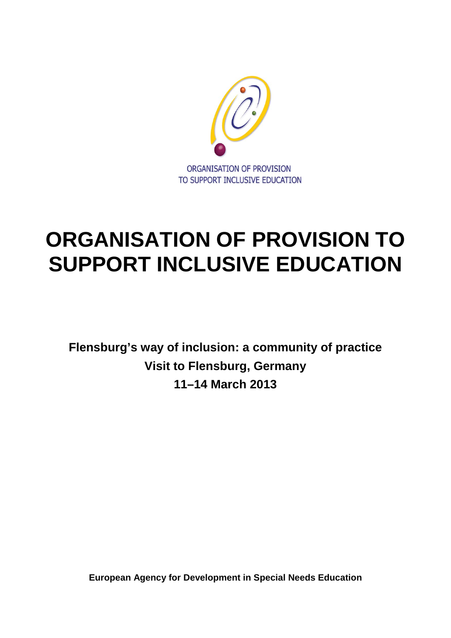

# **ORGANISATION OF PROVISION TO SUPPORT INCLUSIVE EDUCATION**

**Flensburg's way of inclusion: a community of practice Visit to Flensburg, Germany 11–14 March 2013**

**European Agency for Development in Special Needs Education**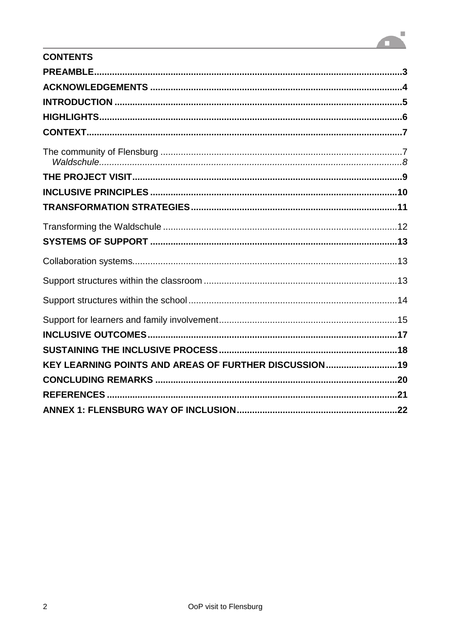# $\overline{\phantom{a}}$ **TIME**

| <b>CONTENTS</b>                                       |  |
|-------------------------------------------------------|--|
|                                                       |  |
|                                                       |  |
|                                                       |  |
|                                                       |  |
|                                                       |  |
|                                                       |  |
|                                                       |  |
|                                                       |  |
|                                                       |  |
|                                                       |  |
|                                                       |  |
|                                                       |  |
|                                                       |  |
|                                                       |  |
|                                                       |  |
|                                                       |  |
|                                                       |  |
| KEY LEARNING POINTS AND AREAS OF FURTHER DISCUSSION19 |  |
|                                                       |  |
|                                                       |  |
|                                                       |  |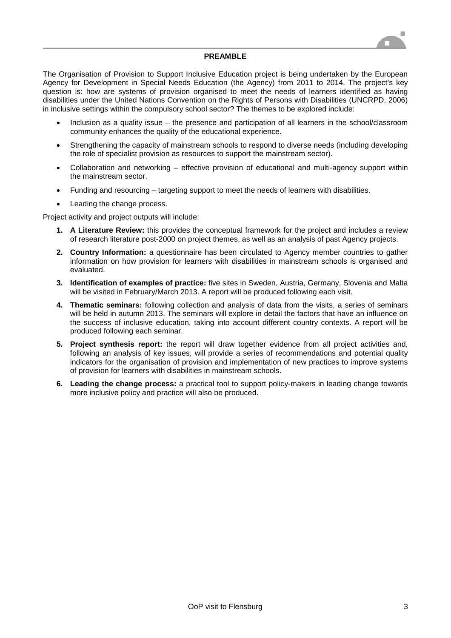

#### **PREAMBLE**

The Organisation of Provision to Support Inclusive Education project is being undertaken by the European Agency for Development in Special Needs Education (the Agency) from 2011 to 2014. The project's key question is: how are systems of provision organised to meet the needs of learners identified as having disabilities under the United Nations Convention on the Rights of Persons with Disabilities (UNCRPD, 2006) in inclusive settings within the compulsory school sector? The themes to be explored include:

- Inclusion as a quality issue the presence and participation of all learners in the school/classroom community enhances the quality of the educational experience.
- Strengthening the capacity of mainstream schools to respond to diverse needs (including developing the role of specialist provision as resources to support the mainstream sector).
- Collaboration and networking effective provision of educational and multi-agency support within the mainstream sector.
- Funding and resourcing targeting support to meet the needs of learners with disabilities.
- Leading the change process.

Project activity and project outputs will include:

- **1. A Literature Review:** this provides the conceptual framework for the project and includes a review of research literature post-2000 on project themes, as well as an analysis of past Agency projects.
- **2. Country Information:** a questionnaire has been circulated to Agency member countries to gather information on how provision for learners with disabilities in mainstream schools is organised and evaluated.
- **3. Identification of examples of practice:** five sites in Sweden, Austria, Germany, Slovenia and Malta will be visited in February/March 2013. A report will be produced following each visit.
- **4. Thematic seminars:** following collection and analysis of data from the visits, a series of seminars will be held in autumn 2013. The seminars will explore in detail the factors that have an influence on the success of inclusive education, taking into account different country contexts. A report will be produced following each seminar.
- **5. Project synthesis report:** the report will draw together evidence from all project activities and, following an analysis of key issues, will provide a series of recommendations and potential quality indicators for the organisation of provision and implementation of new practices to improve systems of provision for learners with disabilities in mainstream schools.
- **6. Leading the change process:** a practical tool to support policy-makers in leading change towards more inclusive policy and practice will also be produced.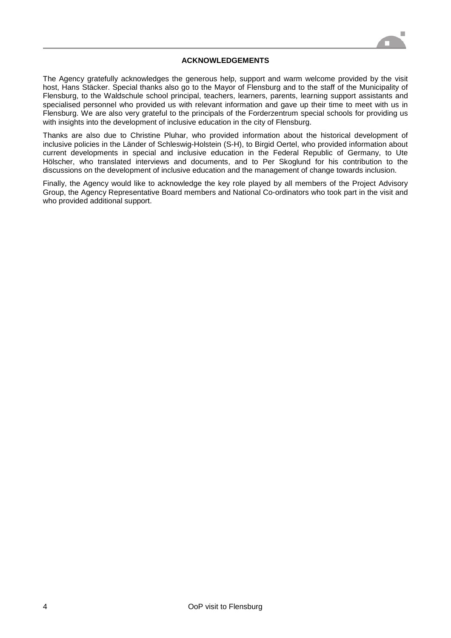

#### **ACKNOWLEDGEMENTS**

The Agency gratefully acknowledges the generous help, support and warm welcome provided by the visit host, Hans Stäcker. Special thanks also go to the Mayor of Flensburg and to the staff of the Municipality of Flensburg, to the Waldschule school principal, teachers, learners, parents, learning support assistants and specialised personnel who provided us with relevant information and gave up their time to meet with us in Flensburg. We are also very grateful to the principals of the Forderzentrum special schools for providing us with insights into the development of inclusive education in the city of Flensburg.

Thanks are also due to Christine Pluhar, who provided information about the historical development of inclusive policies in the Länder of Schleswig-Holstein (S-H), to Birgid Oertel, who provided information about current developments in special and inclusive education in the Federal Republic of Germany, to Ute Hölscher, who translated interviews and documents, and to Per Skoglund for his contribution to the discussions on the development of inclusive education and the management of change towards inclusion.

Finally, the Agency would like to acknowledge the key role played by all members of the Project Advisory Group, the Agency Representative Board members and National Co-ordinators who took part in the visit and who provided additional support.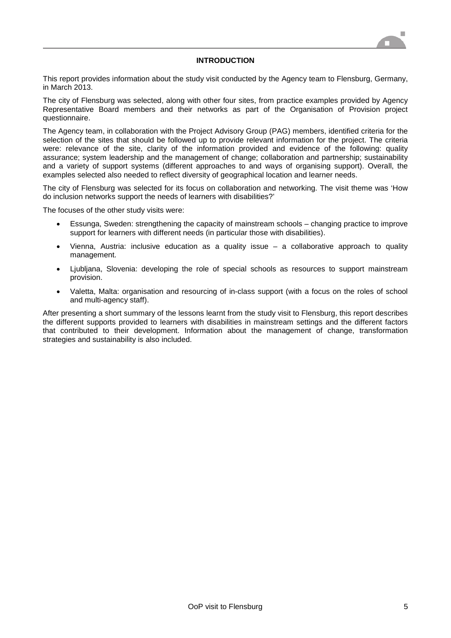

#### **INTRODUCTION**

This report provides information about the study visit conducted by the Agency team to Flensburg, Germany, in March 2013.

The city of Flensburg was selected, along with other four sites, from practice examples provided by Agency Representative Board members and their networks as part of the Organisation of Provision project questionnaire.

The Agency team, in collaboration with the Project Advisory Group (PAG) members, identified criteria for the selection of the sites that should be followed up to provide relevant information for the project. The criteria were: relevance of the site, clarity of the information provided and evidence of the following: quality assurance; system leadership and the management of change; collaboration and partnership; sustainability and a variety of support systems (different approaches to and ways of organising support). Overall, the examples selected also needed to reflect diversity of geographical location and learner needs.

The city of Flensburg was selected for its focus on collaboration and networking. The visit theme was 'How do inclusion networks support the needs of learners with disabilities?'

The focuses of the other study visits were:

- Essunga, Sweden: strengthening the capacity of mainstream schools changing practice to improve support for learners with different needs (in particular those with disabilities).
- Vienna, Austria: inclusive education as a quality issue  $-$  a collaborative approach to quality management.
- Ljubljana, Slovenia: developing the role of special schools as resources to support mainstream provision.
- Valetta, Malta: organisation and resourcing of in-class support (with a focus on the roles of school and multi-agency staff).

After presenting a short summary of the lessons learnt from the study visit to Flensburg, this report describes the different supports provided to learners with disabilities in mainstream settings and the different factors that contributed to their development. Information about the management of change, transformation strategies and sustainability is also included.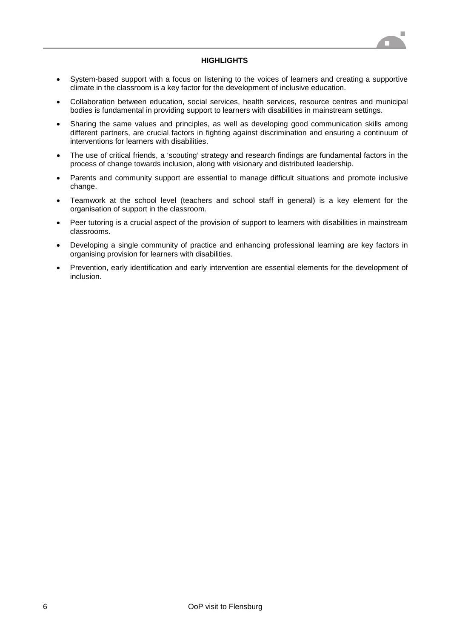#### **HIGHLIGHTS**

- System-based support with a focus on listening to the voices of learners and creating a supportive climate in the classroom is a key factor for the development of inclusive education.
- Collaboration between education, social services, health services, resource centres and municipal bodies is fundamental in providing support to learners with disabilities in mainstream settings.
- Sharing the same values and principles, as well as developing good communication skills among different partners, are crucial factors in fighting against discrimination and ensuring a continuum of interventions for learners with disabilities.
- The use of critical friends, a 'scouting' strategy and research findings are fundamental factors in the process of change towards inclusion, along with visionary and distributed leadership.
- Parents and community support are essential to manage difficult situations and promote inclusive change.
- Teamwork at the school level (teachers and school staff in general) is a key element for the organisation of support in the classroom.
- Peer tutoring is a crucial aspect of the provision of support to learners with disabilities in mainstream classrooms.
- Developing a single community of practice and enhancing professional learning are key factors in organising provision for learners with disabilities.
- Prevention, early identification and early intervention are essential elements for the development of inclusion.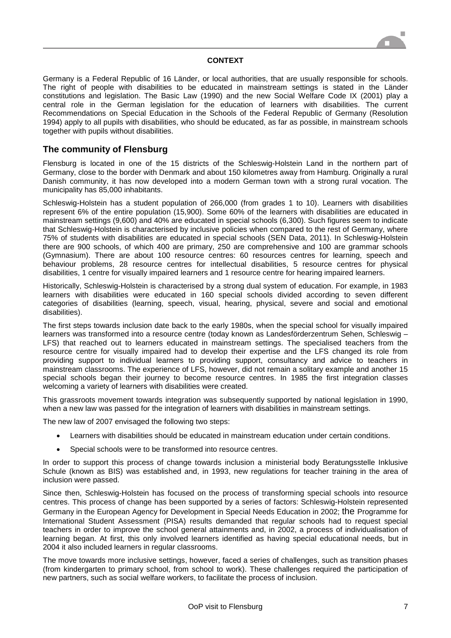#### **CONTEXT**

Germany is a Federal Republic of 16 Länder, or local authorities, that are usually responsible for schools. The right of people with disabilities to be educated in mainstream settings is stated in the Länder constitutions and legislation. The Basic Law (1990) and the new Social Welfare Code IX (2001) play a central role in the German legislation for the education of learners with disabilities. The current Recommendations on Special Education in the Schools of the Federal Republic of Germany (Resolution 1994) apply to all pupils with disabilities, who should be educated, as far as possible, in mainstream schools together with pupils without disabilities.

# **The community of Flensburg**

Flensburg is located in one of the 15 districts of the Schleswig-Holstein Land in the northern part of Germany, close to the border with Denmark and about 150 kilometres away from Hamburg. Originally a rural Danish community, it has now developed into a modern German town with a strong rural vocation. The municipality has 85,000 inhabitants.

Schleswig-Holstein has a student population of 266,000 (from grades 1 to 10). Learners with disabilities represent 6% of the entire population (15,900). Some 60% of the learners with disabilities are educated in mainstream settings (9,600) and 40% are educated in special schools (6,300). Such figures seem to indicate that Schleswig-Holstein is characterised by inclusive policies when compared to the rest of Germany, where 75% of students with disabilities are educated in special schools (SEN Data, 2011). In Schleswig-Holstein there are 900 schools, of which 400 are primary, 250 are comprehensive and 100 are grammar schools (Gymnasium). There are about 100 resource centres: 60 resources centres for learning, speech and behaviour problems, 28 resource centres for intellectual disabilities, 5 resource centres for physical disabilities, 1 centre for visually impaired learners and 1 resource centre for hearing impaired learners.

Historically, Schleswig-Holstein is characterised by a strong dual system of education. For example, in 1983 learners with disabilities were educated in 160 special schools divided according to seven different categories of disabilities (learning, speech, visual, hearing, physical, severe and social and emotional disabilities).

The first steps towards inclusion date back to the early 1980s, when the special school for visually impaired learners was transformed into a resource centre (today known as Landesförderzentrum Sehen, Schleswig – LFS) that reached out to learners educated in mainstream settings. The specialised teachers from the resource centre for visually impaired had to develop their expertise and the LFS changed its role from providing support to individual learners to providing support, consultancy and advice to teachers in mainstream classrooms. The experience of LFS, however, did not remain a solitary example and another 15 special schools began their journey to become resource centres. In 1985 the first integration classes welcoming a variety of learners with disabilities were created.

This grassroots movement towards integration was subsequently supported by national legislation in 1990, when a new law was passed for the integration of learners with disabilities in mainstream settings.

The new law of 2007 envisaged the following two steps:

- Learners with disabilities should be educated in mainstream education under certain conditions.
- Special schools were to be transformed into resource centres.

In order to support this process of change towards inclusion a ministerial body Beratungsstelle Inklusive Schule (known as BIS) was established and, in 1993, new regulations for teacher training in the area of inclusion were passed.

Since then, Schleswig-Holstein has focused on the process of transforming special schools into resource centres. This process of change has been supported by a series of factors: Schleswig-Holstein represented Germany in the European Agency for Development in Special Needs Education in 2002; the Programme for International Student Assessment (PISA) results demanded that regular schools had to request special teachers in order to improve the school general attainments and, in 2002, a process of individualisation of learning began. At first, this only involved learners identified as having special educational needs, but in 2004 it also included learners in regular classrooms.

The move towards more inclusive settings, however, faced a series of challenges, such as transition phases (from kindergarten to primary school, from school to work). These challenges required the participation of new partners, such as social welfare workers, to facilitate the process of inclusion.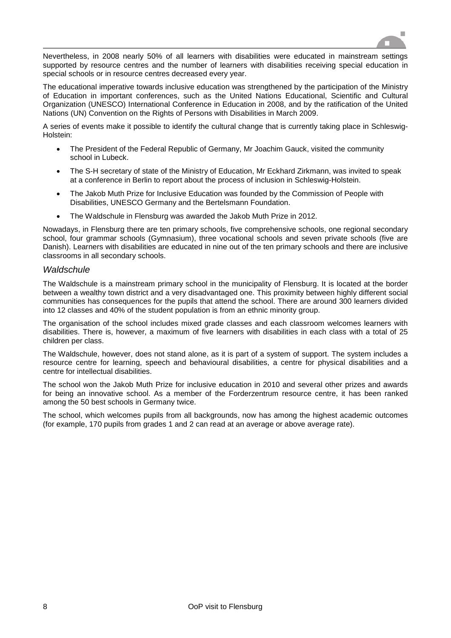

Nevertheless, in 2008 nearly 50% of all learners with disabilities were educated in mainstream settings supported by resource centres and the number of learners with disabilities receiving special education in special schools or in resource centres decreased every year.

The educational imperative towards inclusive education was strengthened by the participation of the Ministry of Education in important conferences, such as the United Nations Educational, Scientific and Cultural Organization (UNESCO) International Conference in Education in 2008, and by the ratification of the United Nations (UN) Convention on the Rights of Persons with Disabilities in March 2009.

A series of events make it possible to identify the cultural change that is currently taking place in Schleswig-Holstein:

- The President of the Federal Republic of Germany, Mr Joachim Gauck, visited the community school in Lubeck.
- The S-H secretary of state of the Ministry of Education, Mr Eckhard Zirkmann, was invited to speak at a conference in Berlin to report about the process of inclusion in Schleswig-Holstein.
- The Jakob Muth Prize for Inclusive Education was founded by the Commission of People with Disabilities, UNESCO Germany and the Bertelsmann Foundation.
- The Waldschule in Flensburg was awarded the Jakob Muth Prize in 2012.

Nowadays, in Flensburg there are ten primary schools, five comprehensive schools, one regional secondary school, four grammar schools (Gymnasium), three vocational schools and seven private schools (five are Danish). Learners with disabilities are educated in nine out of the ten primary schools and there are inclusive classrooms in all secondary schools.

#### *Waldschule*

The Waldschule is a mainstream primary school in the municipality of Flensburg. It is located at the border between a wealthy town district and a very disadvantaged one. This proximity between highly different social communities has consequences for the pupils that attend the school. There are around 300 learners divided into 12 classes and 40% of the student population is from an ethnic minority group.

The organisation of the school includes mixed grade classes and each classroom welcomes learners with disabilities. There is, however, a maximum of five learners with disabilities in each class with a total of 25 children per class.

The Waldschule, however, does not stand alone, as it is part of a system of support. The system includes a resource centre for learning, speech and behavioural disabilities, a centre for physical disabilities and a centre for intellectual disabilities.

The school won the Jakob Muth Prize for inclusive education in 2010 and several other prizes and awards for being an innovative school. As a member of the Forderzentrum resource centre, it has been ranked among the 50 best schools in Germany twice.

The school, which welcomes pupils from all backgrounds, now has among the highest academic outcomes (for example, 170 pupils from grades 1 and 2 can read at an average or above average rate).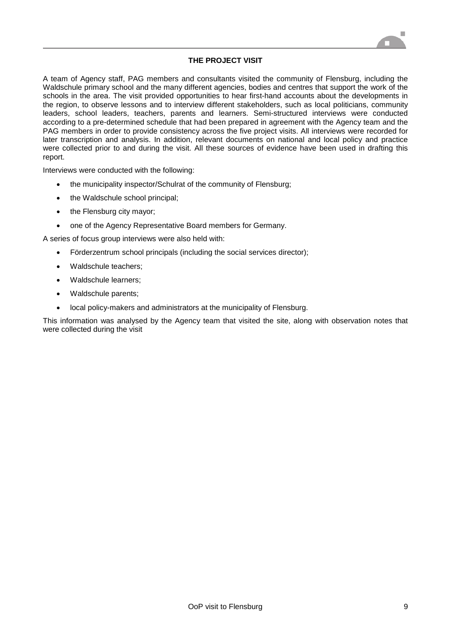

#### **THE PROJECT VISIT**

A team of Agency staff, PAG members and consultants visited the community of Flensburg, including the Waldschule primary school and the many different agencies, bodies and centres that support the work of the schools in the area. The visit provided opportunities to hear first-hand accounts about the developments in the region, to observe lessons and to interview different stakeholders, such as local politicians, community leaders, school leaders, teachers, parents and learners. Semi-structured interviews were conducted according to a pre-determined schedule that had been prepared in agreement with the Agency team and the PAG members in order to provide consistency across the five project visits. All interviews were recorded for later transcription and analysis. In addition, relevant documents on national and local policy and practice were collected prior to and during the visit. All these sources of evidence have been used in drafting this report.

Interviews were conducted with the following:

- the municipality inspector/Schulrat of the community of Flensburg;
- the Waldschule school principal;
- the Flensburg city mayor;
- one of the Agency Representative Board members for Germany.

A series of focus group interviews were also held with:

- Förderzentrum school principals (including the social services director);
- Waldschule teachers:
- Waldschule learners;
- Waldschule parents;
- local policy-makers and administrators at the municipality of Flensburg.

This information was analysed by the Agency team that visited the site, along with observation notes that were collected during the visit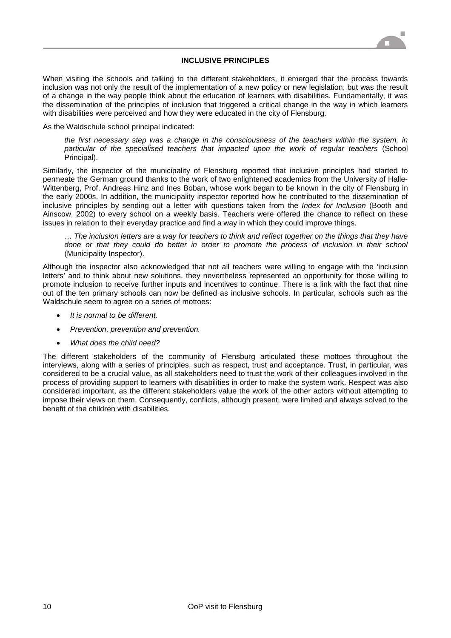

#### **INCLUSIVE PRINCIPLES**

When visiting the schools and talking to the different stakeholders, it emerged that the process towards inclusion was not only the result of the implementation of a new policy or new legislation, but was the result of a change in the way people think about the education of learners with disabilities. Fundamentally, it was the dissemination of the principles of inclusion that triggered a critical change in the way in which learners with disabilities were perceived and how they were educated in the city of Flensburg.

As the Waldschule school principal indicated:

*the first necessary step was a change in the consciousness of the teachers within the system, in particular of the specialised teachers that impacted upon the work of regular teachers* (School Principal).

Similarly, the inspector of the municipality of Flensburg reported that inclusive principles had started to permeate the German ground thanks to the work of two enlightened academics from the University of Halle-Wittenberg, Prof. Andreas Hinz and Ines Boban, whose work began to be known in the city of Flensburg in the early 2000s. In addition, the municipality inspector reported how he contributed to the dissemination of inclusive principles by sending out a letter with questions taken from the *Index for Inclusion* (Booth and Ainscow, 2002) to every school on a weekly basis. Teachers were offered the chance to reflect on these issues in relation to their everyday practice and find a way in which they could improve things.

… *The inclusion letters are a way for teachers to think and reflect together on the things that they have done or that they could do better in order to promote the process of inclusion in their school* (Municipality Inspector).

Although the inspector also acknowledged that not all teachers were willing to engage with the 'inclusion letters' and to think about new solutions, they nevertheless represented an opportunity for those willing to promote inclusion to receive further inputs and incentives to continue. There is a link with the fact that nine out of the ten primary schools can now be defined as inclusive schools. In particular, schools such as the Waldschule seem to agree on a series of mottoes:

- *It is normal to be different.*
- *Prevention, prevention and prevention.*
- *What does the child need?*

The different stakeholders of the community of Flensburg articulated these mottoes throughout the interviews, along with a series of principles, such as respect, trust and acceptance. Trust, in particular, was considered to be a crucial value, as all stakeholders need to trust the work of their colleagues involved in the process of providing support to learners with disabilities in order to make the system work. Respect was also considered important, as the different stakeholders value the work of the other actors without attempting to impose their views on them. Consequently, conflicts, although present, were limited and always solved to the benefit of the children with disabilities.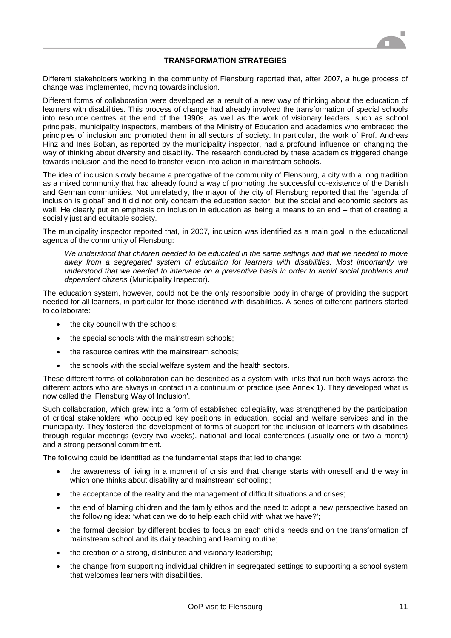

#### **TRANSFORMATION STRATEGIES**

Different stakeholders working in the community of Flensburg reported that, after 2007, a huge process of change was implemented, moving towards inclusion.

Different forms of collaboration were developed as a result of a new way of thinking about the education of learners with disabilities. This process of change had already involved the transformation of special schools into resource centres at the end of the 1990s, as well as the work of visionary leaders, such as school principals, municipality inspectors, members of the Ministry of Education and academics who embraced the principles of inclusion and promoted them in all sectors of society. In particular, the work of Prof. Andreas Hinz and Ines Boban, as reported by the municipality inspector, had a profound influence on changing the way of thinking about diversity and disability. The research conducted by these academics triggered change towards inclusion and the need to transfer vision into action in mainstream schools.

The idea of inclusion slowly became a prerogative of the community of Flensburg, a city with a long tradition as a mixed community that had already found a way of promoting the successful co-existence of the Danish and German communities. Not unrelatedly, the mayor of the city of Flensburg reported that the 'agenda of inclusion is global' and it did not only concern the education sector, but the social and economic sectors as well. He clearly put an emphasis on inclusion in education as being a means to an end – that of creating a socially just and equitable society.

The municipality inspector reported that, in 2007, inclusion was identified as a main goal in the educational agenda of the community of Flensburg:

*We understood that children needed to be educated in the same settings and that we needed to move away from a segregated system of education for learners with disabilities. Most importantly we understood that we needed to intervene on a preventive basis in order to avoid social problems and dependent citizens* (Municipality Inspector).

The education system, however, could not be the only responsible body in charge of providing the support needed for all learners, in particular for those identified with disabilities. A series of different partners started to collaborate:

- the city council with the schools;
- the special schools with the mainstream schools;
- the resource centres with the mainstream schools;
- the schools with the social welfare system and the health sectors.

These different forms of collaboration can be described as a system with links that run both ways across the different actors who are always in contact in a continuum of practice (see Annex 1). They developed what is now called the 'Flensburg Way of Inclusion'.

Such collaboration, which grew into a form of established collegiality, was strengthened by the participation of critical stakeholders who occupied key positions in education, social and welfare services and in the municipality. They fostered the development of forms of support for the inclusion of learners with disabilities through regular meetings (every two weeks), national and local conferences (usually one or two a month) and a strong personal commitment.

The following could be identified as the fundamental steps that led to change:

- the awareness of living in a moment of crisis and that change starts with oneself and the way in which one thinks about disability and mainstream schooling;
- the acceptance of the reality and the management of difficult situations and crises;
- the end of blaming children and the family ethos and the need to adopt a new perspective based on the following idea: 'what can we do to help each child with what we have?';
- the formal decision by different bodies to focus on each child's needs and on the transformation of mainstream school and its daily teaching and learning routine;
- the creation of a strong, distributed and visionary leadership;
- the change from supporting individual children in segregated settings to supporting a school system that welcomes learners with disabilities.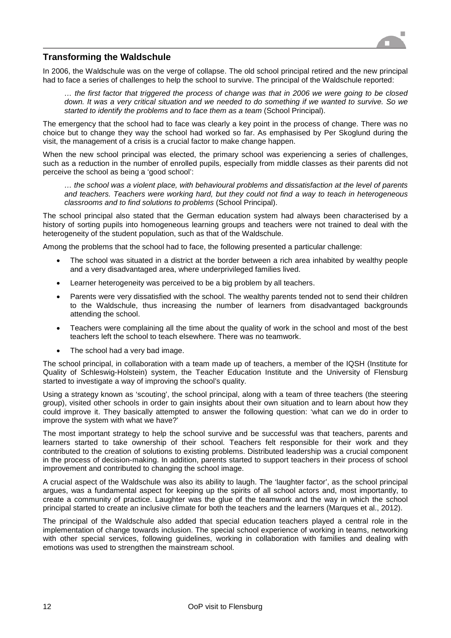

# **Transforming the Waldschule**

In 2006, the Waldschule was on the verge of collapse. The old school principal retired and the new principal had to face a series of challenges to help the school to survive. The principal of the Waldschule reported:

*… the first factor that triggered the process of change was that in 2006 we were going to be closed down. It was a very critical situation and we needed to do something if we wanted to survive. So we started to identify the problems and to face them as a team* (School Principal).

The emergency that the school had to face was clearly a key point in the process of change. There was no choice but to change they way the school had worked so far. As emphasised by Per Skoglund during the visit, the management of a crisis is a crucial factor to make change happen.

When the new school principal was elected, the primary school was experiencing a series of challenges, such as a reduction in the number of enrolled pupils, especially from middle classes as their parents did not perceive the school as being a 'good school':

*… the school was a violent place, with behavioural problems and dissatisfaction at the level of parents and teachers. Teachers were working hard, but they could not find a way to teach in heterogeneous classrooms and to find solutions to problems* (School Principal).

The school principal also stated that the German education system had always been characterised by a history of sorting pupils into homogeneous learning groups and teachers were not trained to deal with the heterogeneity of the student population, such as that of the Waldschule.

Among the problems that the school had to face, the following presented a particular challenge:

- The school was situated in a district at the border between a rich area inhabited by wealthy people and a very disadvantaged area, where underprivileged families lived.
- Learner heterogeneity was perceived to be a big problem by all teachers.
- Parents were very dissatisfied with the school. The wealthy parents tended not to send their children to the Waldschule, thus increasing the number of learners from disadvantaged backgrounds attending the school.
- Teachers were complaining all the time about the quality of work in the school and most of the best teachers left the school to teach elsewhere. There was no teamwork.
- The school had a very bad image.

The school principal, in collaboration with a team made up of teachers, a member of the IQSH (Institute for Quality of Schleswig-Holstein) system, the Teacher Education Institute and the University of Flensburg started to investigate a way of improving the school's quality.

Using a strategy known as 'scouting', the school principal, along with a team of three teachers (the steering group), visited other schools in order to gain insights about their own situation and to learn about how they could improve it. They basically attempted to answer the following question: 'what can we do in order to improve the system with what we have?'

The most important strategy to help the school survive and be successful was that teachers, parents and learners started to take ownership of their school. Teachers felt responsible for their work and they contributed to the creation of solutions to existing problems. Distributed leadership was a crucial component in the process of decision-making. In addition, parents started to support teachers in their process of school improvement and contributed to changing the school image.

A crucial aspect of the Waldschule was also its ability to laugh. The 'laughter factor', as the school principal argues, was a fundamental aspect for keeping up the spirits of all school actors and, most importantly, to create a community of practice. Laughter was the glue of the teamwork and the way in which the school principal started to create an inclusive climate for both the teachers and the learners (Marques et al., 2012).

The principal of the Waldschule also added that special education teachers played a central role in the implementation of change towards inclusion. The special school experience of working in teams, networking with other special services, following guidelines, working in collaboration with families and dealing with emotions was used to strengthen the mainstream school.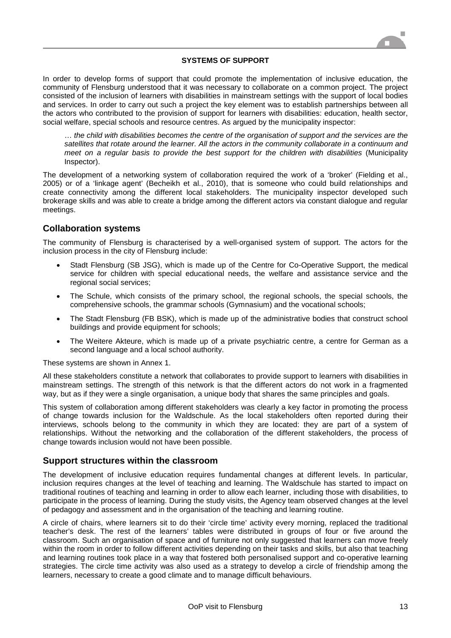#### **SYSTEMS OF SUPPORT**

In order to develop forms of support that could promote the implementation of inclusive education, the community of Flensburg understood that it was necessary to collaborate on a common project. The project consisted of the inclusion of learners with disabilities in mainstream settings with the support of local bodies and services. In order to carry out such a project the key element was to establish partnerships between all the actors who contributed to the provision of support for learners with disabilities: education, health sector, social welfare, special schools and resource centres. As argued by the municipality inspector:

… *the child with disabilities becomes the centre of the organisation of support and the services are the satellites that rotate around the learner. All the actors in the community collaborate in a continuum and meet on a regular basis to provide the best support for the children with disabilities* (Municipality Inspector).

The development of a networking system of collaboration required the work of a 'broker' (Fielding et al., 2005) or of a 'linkage agent' (Becheikh et al., 2010), that is someone who could build relationships and create connectivity among the different local stakeholders. The municipality inspector developed such brokerage skills and was able to create a bridge among the different actors via constant dialogue and regular meetings.

### **Collaboration systems**

The community of Flensburg is characterised by a well-organised system of support. The actors for the inclusion process in the city of Flensburg include:

- Stadt Flensburg (SB JSG), which is made up of the Centre for Co-Operative Support, the medical service for children with special educational needs, the welfare and assistance service and the regional social services;
- The Schule, which consists of the primary school, the regional schools, the special schools, the comprehensive schools, the grammar schools (Gymnasium) and the vocational schools;
- The Stadt Flensburg (FB BSK), which is made up of the administrative bodies that construct school buildings and provide equipment for schools;
- The Weitere Akteure, which is made up of a private psychiatric centre, a centre for German as a second language and a local school authority.

These systems are shown in Annex 1.

All these stakeholders constitute a network that collaborates to provide support to learners with disabilities in mainstream settings. The strength of this network is that the different actors do not work in a fragmented way, but as if they were a single organisation, a unique body that shares the same principles and goals.

This system of collaboration among different stakeholders was clearly a key factor in promoting the process of change towards inclusion for the Waldschule. As the local stakeholders often reported during their interviews, schools belong to the community in which they are located: they are part of a system of relationships. Without the networking and the collaboration of the different stakeholders, the process of change towards inclusion would not have been possible.

#### **Support structures within the classroom**

The development of inclusive education requires fundamental changes at different levels. In particular, inclusion requires changes at the level of teaching and learning. The Waldschule has started to impact on traditional routines of teaching and learning in order to allow each learner, including those with disabilities, to participate in the process of learning. During the study visits, the Agency team observed changes at the level of pedagogy and assessment and in the organisation of the teaching and learning routine.

A circle of chairs, where learners sit to do their 'circle time' activity every morning, replaced the traditional teacher's desk. The rest of the learners' tables were distributed in groups of four or five around the classroom. Such an organisation of space and of furniture not only suggested that learners can move freely within the room in order to follow different activities depending on their tasks and skills, but also that teaching and learning routines took place in a way that fostered both personalised support and co-operative learning strategies. The circle time activity was also used as a strategy to develop a circle of friendship among the learners, necessary to create a good climate and to manage difficult behaviours.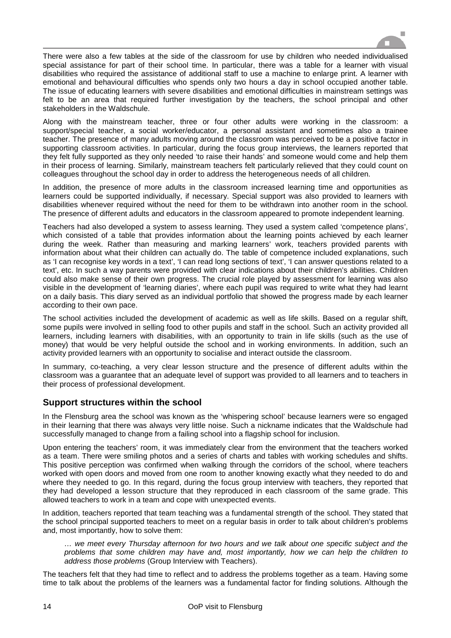

There were also a few tables at the side of the classroom for use by children who needed individualised special assistance for part of their school time. In particular, there was a table for a learner with visual disabilities who required the assistance of additional staff to use a machine to enlarge print. A learner with emotional and behavioural difficulties who spends only two hours a day in school occupied another table. The issue of educating learners with severe disabilities and emotional difficulties in mainstream settings was felt to be an area that required further investigation by the teachers, the school principal and other stakeholders in the Waldschule.

Along with the mainstream teacher, three or four other adults were working in the classroom: a support/special teacher, a social worker/educator, a personal assistant and sometimes also a trainee teacher. The presence of many adults moving around the classroom was perceived to be a positive factor in supporting classroom activities. In particular, during the focus group interviews, the learners reported that they felt fully supported as they only needed 'to raise their hands' and someone would come and help them in their process of learning. Similarly, mainstream teachers felt particularly relieved that they could count on colleagues throughout the school day in order to address the heterogeneous needs of all children.

In addition, the presence of more adults in the classroom increased learning time and opportunities as learners could be supported individually, if necessary. Special support was also provided to learners with disabilities whenever required without the need for them to be withdrawn into another room in the school. The presence of different adults and educators in the classroom appeared to promote independent learning.

Teachers had also developed a system to assess learning. They used a system called 'competence plans', which consisted of a table that provides information about the learning points achieved by each learner during the week. Rather than measuring and marking learners' work, teachers provided parents with information about what their children can actually do. The table of competence included explanations, such as 'I can recognise key words in a text', 'I can read long sections of text', 'I can answer questions related to a text', etc. In such a way parents were provided with clear indications about their children's abilities. Children could also make sense of their own progress. The crucial role played by assessment for learning was also visible in the development of 'learning diaries', where each pupil was required to write what they had learnt on a daily basis. This diary served as an individual portfolio that showed the progress made by each learner according to their own pace.

The school activities included the development of academic as well as life skills. Based on a regular shift, some pupils were involved in selling food to other pupils and staff in the school. Such an activity provided all learners, including learners with disabilities, with an opportunity to train in life skills (such as the use of money) that would be very helpful outside the school and in working environments. In addition, such an activity provided learners with an opportunity to socialise and interact outside the classroom.

In summary, co-teaching, a very clear lesson structure and the presence of different adults within the classroom was a guarantee that an adequate level of support was provided to all learners and to teachers in their process of professional development.

# **Support structures within the school**

In the Flensburg area the school was known as the 'whispering school' because learners were so engaged in their learning that there was always very little noise. Such a nickname indicates that the Waldschule had successfully managed to change from a failing school into a flagship school for inclusion.

Upon entering the teachers' room, it was immediately clear from the environment that the teachers worked as a team. There were smiling photos and a series of charts and tables with working schedules and shifts. This positive perception was confirmed when walking through the corridors of the school, where teachers worked with open doors and moved from one room to another knowing exactly what they needed to do and where they needed to go. In this regard, during the focus group interview with teachers, they reported that they had developed a lesson structure that they reproduced in each classroom of the same grade. This allowed teachers to work in a team and cope with unexpected events.

In addition, teachers reported that team teaching was a fundamental strength of the school. They stated that the school principal supported teachers to meet on a regular basis in order to talk about children's problems and, most importantly, how to solve them:

*… we meet every Thursday afternoon for two hours and we talk about one specific subject and the problems that some children may have and, most importantly, how we can help the children to address those problems* (Group Interview with Teachers).

The teachers felt that they had time to reflect and to address the problems together as a team. Having some time to talk about the problems of the learners was a fundamental factor for finding solutions. Although the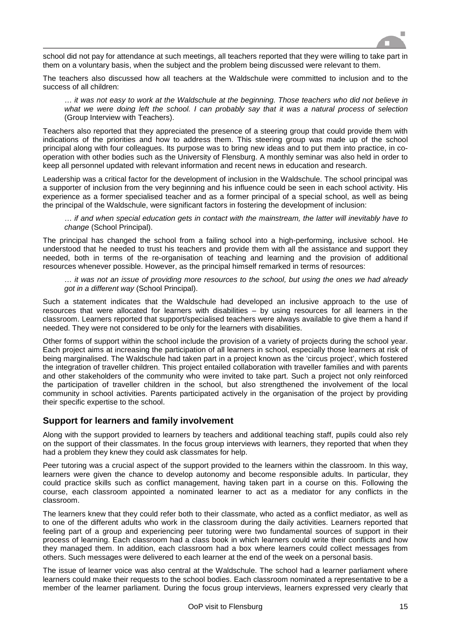

school did not pay for attendance at such meetings, all teachers reported that they were willing to take part in them on a voluntary basis, when the subject and the problem being discussed were relevant to them.

The teachers also discussed how all teachers at the Waldschule were committed to inclusion and to the success of all children:

… *it was not easy to work at the Waldschule at the beginning. Those teachers who did not believe in what we were doing left the school. I can probably say that it was a natural process of selection* (Group Interview with Teachers).

Teachers also reported that they appreciated the presence of a steering group that could provide them with indications of the priorities and how to address them. This steering group was made up of the school principal along with four colleagues. Its purpose was to bring new ideas and to put them into practice, in cooperation with other bodies such as the University of Flensburg. A monthly seminar was also held in order to keep all personnel updated with relevant information and recent news in education and research.

Leadership was a critical factor for the development of inclusion in the Waldschule. The school principal was a supporter of inclusion from the very beginning and his influence could be seen in each school activity. His experience as a former specialised teacher and as a former principal of a special school, as well as being the principal of the Waldschule, were significant factors in fostering the development of inclusion:

… *if and when special education gets in contact with the mainstream, the latter will inevitably have to change* (School Principal).

The principal has changed the school from a failing school into a high-performing, inclusive school. He understood that he needed to trust his teachers and provide them with all the assistance and support they needed, both in terms of the re-organisation of teaching and learning and the provision of additional resources whenever possible. However, as the principal himself remarked in terms of resources:

… *it was not an issue of providing more resources to the school, but using the ones we had already got in a different way* (School Principal).

Such a statement indicates that the Waldschule had developed an inclusive approach to the use of resources that were allocated for learners with disabilities – by using resources for all learners in the classroom. Learners reported that support/specialised teachers were always available to give them a hand if needed. They were not considered to be only for the learners with disabilities.

Other forms of support within the school include the provision of a variety of projects during the school year. Each project aims at increasing the participation of all learners in school, especially those learners at risk of being marginalised. The Waldschule had taken part in a project known as the 'circus project', which fostered the integration of traveller children. This project entailed collaboration with traveller families and with parents and other stakeholders of the community who were invited to take part. Such a project not only reinforced the participation of traveller children in the school, but also strengthened the involvement of the local community in school activities. Parents participated actively in the organisation of the project by providing their specific expertise to the school.

## **Support for learners and family involvement**

Along with the support provided to learners by teachers and additional teaching staff, pupils could also rely on the support of their classmates. In the focus group interviews with learners, they reported that when they had a problem they knew they could ask classmates for help.

Peer tutoring was a crucial aspect of the support provided to the learners within the classroom. In this way, learners were given the chance to develop autonomy and become responsible adults. In particular, they could practice skills such as conflict management, having taken part in a course on this. Following the course, each classroom appointed a nominated learner to act as a mediator for any conflicts in the classroom.

The learners knew that they could refer both to their classmate, who acted as a conflict mediator, as well as to one of the different adults who work in the classroom during the daily activities. Learners reported that feeling part of a group and experiencing peer tutoring were two fundamental sources of support in their process of learning. Each classroom had a class book in which learners could write their conflicts and how they managed them. In addition, each classroom had a box where learners could collect messages from others. Such messages were delivered to each learner at the end of the week on a personal basis.

The issue of learner voice was also central at the Waldschule. The school had a learner parliament where learners could make their requests to the school bodies. Each classroom nominated a representative to be a member of the learner parliament. During the focus group interviews, learners expressed very clearly that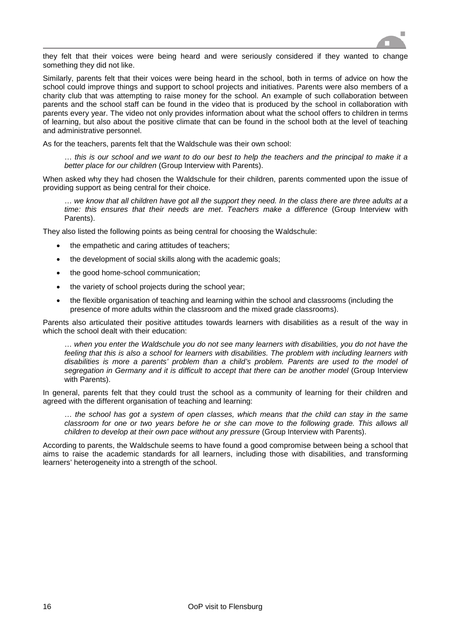

they felt that their voices were being heard and were seriously considered if they wanted to change something they did not like.

Similarly, parents felt that their voices were being heard in the school, both in terms of advice on how the school could improve things and support to school projects and initiatives. Parents were also members of a charity club that was attempting to raise money for the school. An example of such collaboration between parents and the school staff can be found in the video that is produced by the school in collaboration with parents every year. The video not only provides information about what the school offers to children in terms of learning, but also about the positive climate that can be found in the school both at the level of teaching and administrative personnel.

As for the teachers, parents felt that the Waldschule was their own school:

… *this is our school and we want to do our best to help the teachers and the principal to make it a better place for our children* (Group Interview with Parents).

When asked why they had chosen the Waldschule for their children, parents commented upon the issue of providing support as being central for their choice.

… *we know that all children have got all the support they need. In the class there are three adults at a time: this ensures that their needs are met*. *Teachers make a difference* (Group Interview with Parents).

They also listed the following points as being central for choosing the Waldschule:

- the empathetic and caring attitudes of teachers;
- the development of social skills along with the academic goals;
- the good home-school communication;
- the variety of school projects during the school year;
- the flexible organisation of teaching and learning within the school and classrooms (including the presence of more adults within the classroom and the mixed grade classrooms).

Parents also articulated their positive attitudes towards learners with disabilities as a result of the way in which the school dealt with their education:

… *when you enter the Waldschule you do not see many learners with disabilities, you do not have the*  feeling that this is also a school for learners with disabilities. The problem with including learners with *disabilities is more a parents' problem than a child's problem. Parents are used to the model of segregation in Germany and it is difficult to accept that there can be another model* (Group Interview with Parents).

In general, parents felt that they could trust the school as a community of learning for their children and agreed with the different organisation of teaching and learning:

… *the school has got a system of open classes, which means that the child can stay in the same classroom for one or two years before he or she can move to the following grade. This allows all children to develop at their own pace without any pressure* (Group Interview with Parents).

According to parents, the Waldschule seems to have found a good compromise between being a school that aims to raise the academic standards for all learners, including those with disabilities, and transforming learners' heterogeneity into a strength of the school.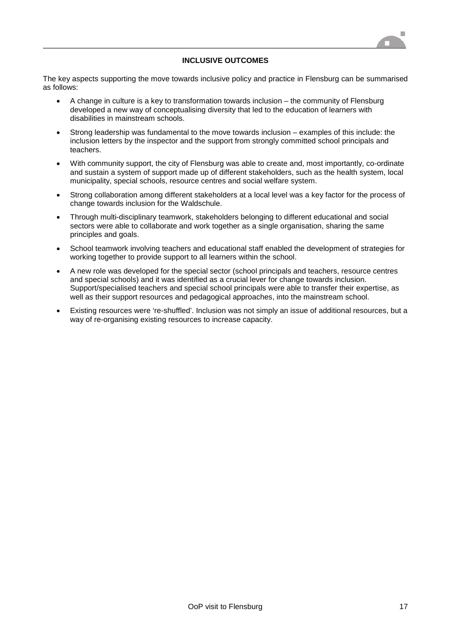

#### **INCLUSIVE OUTCOMES**

The key aspects supporting the move towards inclusive policy and practice in Flensburg can be summarised as follows:

- A change in culture is a key to transformation towards inclusion the community of Flensburg developed a new way of conceptualising diversity that led to the education of learners with disabilities in mainstream schools.
- Strong leadership was fundamental to the move towards inclusion examples of this include: the inclusion letters by the inspector and the support from strongly committed school principals and teachers.
- With community support, the city of Flensburg was able to create and, most importantly, co-ordinate and sustain a system of support made up of different stakeholders, such as the health system, local municipality, special schools, resource centres and social welfare system.
- Strong collaboration among different stakeholders at a local level was a key factor for the process of change towards inclusion for the Waldschule.
- Through multi-disciplinary teamwork, stakeholders belonging to different educational and social sectors were able to collaborate and work together as a single organisation, sharing the same principles and goals.
- School teamwork involving teachers and educational staff enabled the development of strategies for working together to provide support to all learners within the school.
- A new role was developed for the special sector (school principals and teachers, resource centres and special schools) and it was identified as a crucial lever for change towards inclusion. Support/specialised teachers and special school principals were able to transfer their expertise, as well as their support resources and pedagogical approaches, into the mainstream school.
- Existing resources were 're-shuffled'. Inclusion was not simply an issue of additional resources, but a way of re-organising existing resources to increase capacity.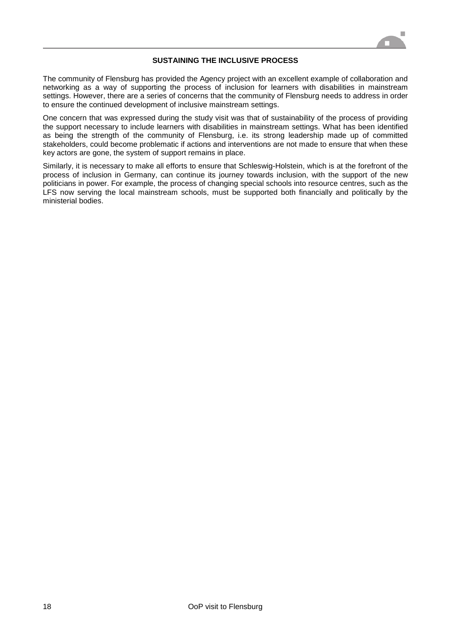

#### **SUSTAINING THE INCLUSIVE PROCESS**

The community of Flensburg has provided the Agency project with an excellent example of collaboration and networking as a way of supporting the process of inclusion for learners with disabilities in mainstream settings. However, there are a series of concerns that the community of Flensburg needs to address in order to ensure the continued development of inclusive mainstream settings.

One concern that was expressed during the study visit was that of sustainability of the process of providing the support necessary to include learners with disabilities in mainstream settings. What has been identified as being the strength of the community of Flensburg, i.e. its strong leadership made up of committed stakeholders, could become problematic if actions and interventions are not made to ensure that when these key actors are gone, the system of support remains in place.

Similarly, it is necessary to make all efforts to ensure that Schleswig-Holstein, which is at the forefront of the process of inclusion in Germany, can continue its journey towards inclusion, with the support of the new politicians in power. For example, the process of changing special schools into resource centres, such as the LFS now serving the local mainstream schools, must be supported both financially and politically by the ministerial bodies.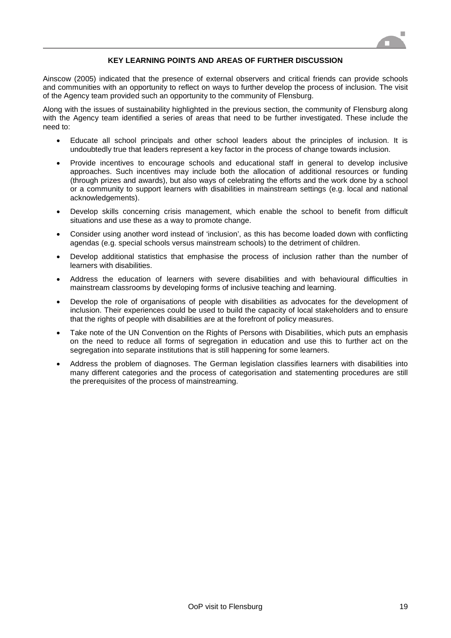

#### **KEY LEARNING POINTS AND AREAS OF FURTHER DISCUSSION**

Ainscow (2005) indicated that the presence of external observers and critical friends can provide schools and communities with an opportunity to reflect on ways to further develop the process of inclusion. The visit of the Agency team provided such an opportunity to the community of Flensburg.

Along with the issues of sustainability highlighted in the previous section, the community of Flensburg along with the Agency team identified a series of areas that need to be further investigated. These include the need to:

- Educate all school principals and other school leaders about the principles of inclusion. It is undoubtedly true that leaders represent a key factor in the process of change towards inclusion.
- Provide incentives to encourage schools and educational staff in general to develop inclusive approaches. Such incentives may include both the allocation of additional resources or funding (through prizes and awards), but also ways of celebrating the efforts and the work done by a school or a community to support learners with disabilities in mainstream settings (e.g. local and national acknowledgements).
- Develop skills concerning crisis management, which enable the school to benefit from difficult situations and use these as a way to promote change.
- Consider using another word instead of 'inclusion', as this has become loaded down with conflicting agendas (e.g. special schools versus mainstream schools) to the detriment of children.
- Develop additional statistics that emphasise the process of inclusion rather than the number of learners with disabilities.
- Address the education of learners with severe disabilities and with behavioural difficulties in mainstream classrooms by developing forms of inclusive teaching and learning.
- Develop the role of organisations of people with disabilities as advocates for the development of inclusion. Their experiences could be used to build the capacity of local stakeholders and to ensure that the rights of people with disabilities are at the forefront of policy measures.
- Take note of the UN Convention on the Rights of Persons with Disabilities, which puts an emphasis on the need to reduce all forms of segregation in education and use this to further act on the segregation into separate institutions that is still happening for some learners.
- Address the problem of diagnoses. The German legislation classifies learners with disabilities into many different categories and the process of categorisation and statementing procedures are still the prerequisites of the process of mainstreaming.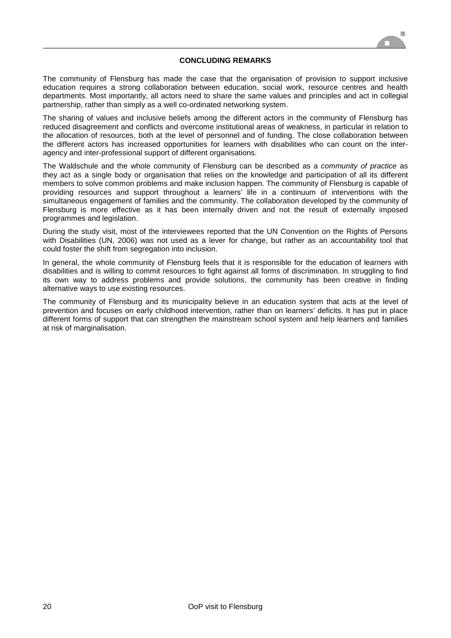

#### **CONCLUDING REMARKS**

The community of Flensburg has made the case that the organisation of provision to support inclusive education requires a strong collaboration between education, social work, resource centres and health departments. Most importantly, all actors need to share the same values and principles and act in collegial partnership, rather than simply as a well co-ordinated networking system.

The sharing of values and inclusive beliefs among the different actors in the community of Flensburg has reduced disagreement and conflicts and overcome institutional areas of weakness, in particular in relation to the allocation of resources, both at the level of personnel and of funding. The close collaboration between the different actors has increased opportunities for learners with disabilities who can count on the interagency and inter-professional support of different organisations.

The Waldschule and the whole community of Flensburg can be described as a *community of practice* as they act as a single body or organisation that relies on the knowledge and participation of all its different members to solve common problems and make inclusion happen. The community of Flensburg is capable of providing resources and support throughout a learners' life in a continuum of interventions with the simultaneous engagement of families and the community. The collaboration developed by the community of Flensburg is more effective as it has been internally driven and not the result of externally imposed programmes and legislation.

During the study visit, most of the interviewees reported that the UN Convention on the Rights of Persons with Disabilities (UN, 2006) was not used as a lever for change, but rather as an accountability tool that could foster the shift from segregation into inclusion.

In general, the whole community of Flensburg feels that it is responsible for the education of learners with disabilities and is willing to commit resources to fight against all forms of discrimination. In struggling to find its own way to address problems and provide solutions, the community has been creative in finding alternative ways to use existing resources.

The community of Flensburg and its municipality believe in an education system that acts at the level of prevention and focuses on early childhood intervention, rather than on learners' deficits. It has put in place different forms of support that can strengthen the mainstream school system and help learners and families at risk of marginalisation.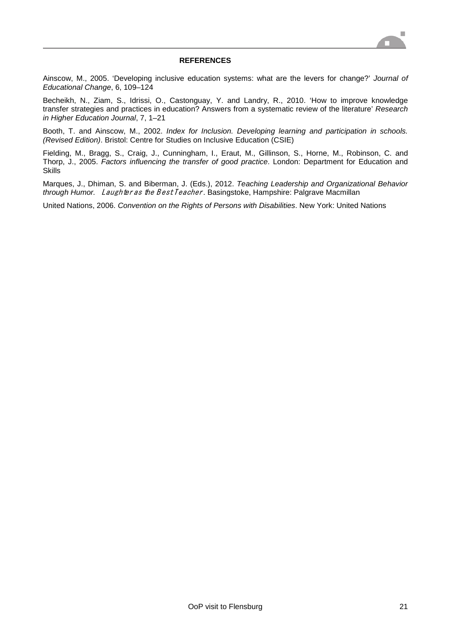

#### **REFERENCES**

Ainscow, M., 2005. 'Developing inclusive education systems: what are the levers for change?' *Journal of Educational Change*, 6, 109–124

Becheikh, N., Ziam, S., Idrissi, O., Castonguay, Y. and Landry, R., 2010. 'How to improve knowledge transfer strategies and practices in education? Answers from a systematic review of the literature' *Research in Higher Education Journal*, 7, 1–21

Booth, T. and Ainscow, M., 2002. *Index for Inclusion. Developing learning and participation in schools. (Revised Edition)*. Bristol: Centre for Studies on Inclusive Education (CSIE)

Fielding, M., Bragg, S., Craig, J., Cunningham, I., Eraut, M., Gillinson, S., Horne, M., Robinson, C. and Thorp, J., 2005. *Factors influencing the transfer of good practice*. London: Department for Education and Skills

Marques, J., Dhiman, S. and Biberman, J. (Eds.), 2012. *Teaching Leadership and Organizational Behavior through Humor. Laughter as the Best Teacher*. Basingstoke, Hampshire: Palgrave Macmillan

United Nations, 2006. *Convention on the Rights of Persons with Disabilities*. New York: United Nations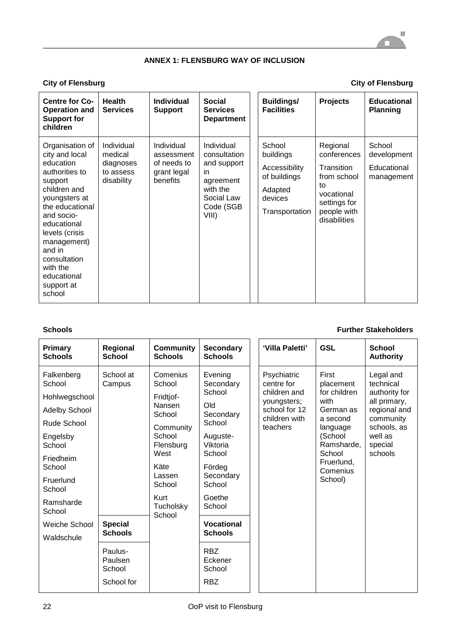# **ANNEX 1: FLENSBURG WAY OF INCLUSION**

# **City of Flensburg City of Flensburg**

| <b>Centre for Co-</b><br><b>Operation and</b><br><b>Support for</b><br>children                                                                                                                                                                                            | <b>Health</b><br><b>Services</b>                              | <b>Individual</b><br><b>Support</b>                                | <b>Social</b><br><b>Services</b><br><b>Department</b>                                                         | <b>Buildings/</b><br><b>Facilities</b>                                                       | <b>Projects</b>                                                                                                         | <b>Educational</b><br><b>Planning</b>              |
|----------------------------------------------------------------------------------------------------------------------------------------------------------------------------------------------------------------------------------------------------------------------------|---------------------------------------------------------------|--------------------------------------------------------------------|---------------------------------------------------------------------------------------------------------------|----------------------------------------------------------------------------------------------|-------------------------------------------------------------------------------------------------------------------------|----------------------------------------------------|
| Organisation of<br>city and local<br>education<br>authorities to<br>support<br>children and<br>youngsters at<br>the educational<br>and socio-<br>educational<br>levels (crisis<br>management)<br>and in<br>consultation<br>with the<br>educational<br>support at<br>school | Individual<br>medical<br>diagnoses<br>to assess<br>disability | Individual<br>assessment<br>of needs to<br>grant legal<br>benefits | Individual<br>consultation<br>and support<br>in.<br>agreement<br>with the<br>Social Law<br>Code (SGB<br>VIII) | School<br>buildings<br>Accessibility<br>of buildings<br>Adapted<br>devices<br>Transportation | Regional<br>conferences<br>Transition<br>from school<br>to<br>vocational<br>settings for<br>people with<br>disabilities | School<br>development<br>Educational<br>management |

## **Schools Further Stakeholders**

| <b>Primary</b><br><b>Schools</b>                                                                                                                                                         | Regional<br><b>School</b>                  | <b>Community</b><br><b>Schools</b>                                                                                                                         | <b>Secondary</b><br><b>Schools</b>                                                                                                                                       | 'Villa Paletti'                                                                                        | <b>GSL</b>                                                                                                                                              | <b>School</b><br><b>Authority</b>                                                                                                    |
|------------------------------------------------------------------------------------------------------------------------------------------------------------------------------------------|--------------------------------------------|------------------------------------------------------------------------------------------------------------------------------------------------------------|--------------------------------------------------------------------------------------------------------------------------------------------------------------------------|--------------------------------------------------------------------------------------------------------|---------------------------------------------------------------------------------------------------------------------------------------------------------|--------------------------------------------------------------------------------------------------------------------------------------|
| Falkenberg<br>School<br>Hohlwegschool<br><b>Adelby School</b><br>Rude School<br>Engelsby<br>School<br>Friedheim<br>School<br>Fruerlund<br>School<br>Ramsharde<br>School<br>Weiche School | School at<br>Campus<br><b>Special</b>      | Comenius<br>School<br>Fridtjof-<br>Nansen<br>School<br>Community<br>School<br>Flensburg<br>West<br>Käte<br>Lassen<br>School<br>Kurt<br>Tucholsky<br>School | Evening<br>Secondary<br>School<br>Old<br>Secondary<br>School<br>Auguste-<br>Viktoria<br>School<br>Fördeg<br>Secondary<br>School<br>Goethe<br>School<br><b>Vocational</b> | Psychiatric<br>centre for<br>children and<br>youngsters;<br>school for 12<br>children with<br>teachers | First<br>placement<br>for children<br>with<br>German as<br>a second<br>language<br>(School<br>Ramsharde,<br>School<br>Fruerlund,<br>Comenius<br>School) | Legal and<br>technical<br>authority for<br>all primary,<br>regional and<br>community<br>schools, as<br>well as<br>special<br>schools |
| Waldschule                                                                                                                                                                               | <b>Schools</b>                             |                                                                                                                                                            | <b>Schools</b>                                                                                                                                                           |                                                                                                        |                                                                                                                                                         |                                                                                                                                      |
|                                                                                                                                                                                          | Paulus-<br>Paulsen<br>School<br>School for |                                                                                                                                                            | <b>RBZ</b><br>Eckener<br>School<br><b>RBZ</b>                                                                                                                            |                                                                                                        |                                                                                                                                                         |                                                                                                                                      |